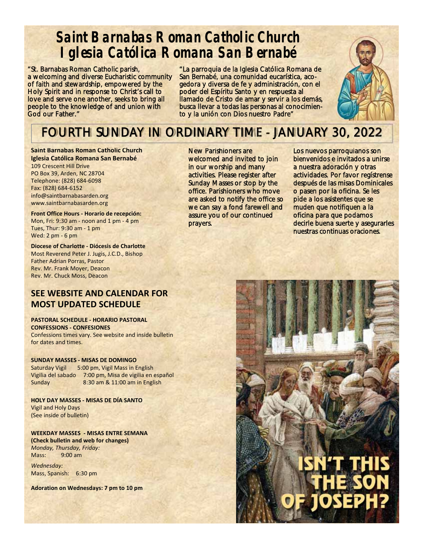# **Saint Barnabas Roman Catholic Church Iglesia Católica Romana San Bernabé**

"St. Barnabas Roman Catholic parish, a welcoming and diverse Eucharistic community of faith and stewardship, empowered by the Holy Spirit and in response to Christ's call to love and serve one another, seeks to bring all people to the knowledge of and union with God our Father."

"La parroquia de la Iglesia Católica Romana de San Bernabé, una comunidad eucarística, acogedora y diversa de fe y administración, con el poder del Espíritu Santo y en respuesta al llamado de Cristo de amar y servir a los demás, busca llevar a todas las personas al conocimiento y la unión con Dios nuestro Padre"



# FOURTH SUNDAY IN ORDINARY TIME - JANUARY 30, 2022

**Saint Barnabas Roman Catholic Church Iglesia Católica Romana San Bernabé**  109 Crescent Hill Drive PO Box 39, Arden, NC 28704 Telephone: (828) 684‐6098 Fax: (828) 684‐6152 info@saintbarnabasarden.org www.saintbarnabasarden.org

**Front Office Hours ‐ Horario de recepción:**  Mon, Fri: 9:30 am ‐ noon and 1 pm ‐ 4 pm Tues, Thur: 9:30 am ‐ 1 pm Wed: 2 pm ‐ 6 pm

**Diocese of Charlotte ‐ Diócesis de Charlotte**  Most Reverend Peter J. Jugis, J.C.D., Bishop Father Adrian Porras, Pastor Rev. Mr. Frank Moyer, Deacon Rev. Mr. Chuck Moss, Deacon

#### **SEE WEBSITE AND CALENDAR FOR MOST UPDATED SCHEDULE**

**PASTORAL SCHEDULE ‐ HORARIO PASTORAL CONFESSIONS ‐ CONFESIONES**  Confessions times vary. See website and inside bulletin for dates and times.

**SUNDAY MASSES ‐ MISAS DE DOMINGO** Saturday Vigil 5:00 pm, Vigil Mass in English Vigilia del sabado 7:00 pm, Misa de vigilia en español Sunday 8:30 am & 11:00 am in English

**HOLY DAY MASSES ‐ MISAS DE DÍA SANTO**  Vigil and Holy Days (See inside of bulletin)

**WEEKDAY MASSES ‐ MISAS ENTRE SEMANA (Check bulletin and web for changes)**  *Monday, Thursday, Friday:*  Mass: 9:00 am

*Wednesday:*  Mass, Spanish: 6:30 pm

**Adoration on Wednesdays: 7 pm to 10 pm** 

New Parishioners are welcomed and invited to join in our worship and many activities. Please register after Sunday Masses or stop by the office. Parishioners who move are asked to notify the office so we can say a fond farewell and assure you of our continued prayers.

Los nuevos parroquianos son bienvenidos e invitados a unirse a nuestra adoración y otras actividades. Por favor regístrense después de las misas Dominicales o pasen por la oficina. Se les pide a los asistentes que se muden que notifiquen a la oficina para que podamos decirle buena suerte y asegurarles nuestras continuas oraciones.

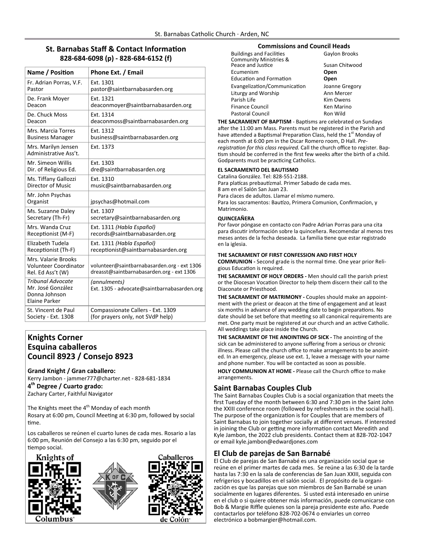#### **St. Barnabas Staff & Contact Information 828‐684‐6098 (p) ‐ 828‐684‐6152 (f)**

| Name / Position                                                                        | Phone Ext. / Email                                                                       |
|----------------------------------------------------------------------------------------|------------------------------------------------------------------------------------------|
| Fr. Adrian Porras, V.F.                                                                | Ext. 1301                                                                                |
| Pastor                                                                                 | pastor@saintbarnabasarden.org                                                            |
| De. Frank Moyer                                                                        | Ext. 1321                                                                                |
| Deacon                                                                                 | deaconmoyer@saintbarnabasarden.org                                                       |
| De. Chuck Moss                                                                         | Ext. 1314                                                                                |
| Deacon                                                                                 | deaconmoss@saintbarnabasarden.org                                                        |
| Mrs. Marcia Torres                                                                     | Ext. 1312                                                                                |
| <b>Business Manager</b>                                                                | business@saintbarnabasarden.org                                                          |
| Mrs. Marilyn Jensen<br>Administrative Ass't.                                           | Ext. 1373                                                                                |
| Mr. Simeon Willis                                                                      | Ext. 1303                                                                                |
| Dir. of Religious Ed.                                                                  | dre@saintbarnabasarden.org                                                               |
| Ms. Tiffany Gallozzi                                                                   | Ext. 1310                                                                                |
| Director of Music                                                                      | music@saintbarnabasarden.org                                                             |
| Mr. John Psychas<br>Organist                                                           | jpsychas@hotmail.com                                                                     |
| Ms. Suzanne Daley                                                                      | Ext. 1307                                                                                |
| Secretary (Th-Fr)                                                                      | secretary@saintbarnabasarden.org                                                         |
| Mrs. Wanda Cruz                                                                        | Ext. 1311 (Habla Español)                                                                |
| Receptionist (M-F)                                                                     | records@saintbarnabasarden.org                                                           |
| Elizabeth Tudela                                                                       | Ext. 1311 (Habla Español)                                                                |
| Receptionist (Th-F)                                                                    | receptionist@saintbarnabasarden.org                                                      |
| Mrs. Valarie Brooks<br><b>Volunteer Coordinator</b><br>Rel. Ed Ass't (W)               | volunteer@saintbarnabasarden.org - ext 1306<br>dreasst@saintbarnabasarden.org - ext 1306 |
| <b>Tribunal Advocate</b><br>Mr. José González<br>Donna Johnson<br><b>Elaine Parker</b> | (annulments)<br>Ext. 1305 - advocate@saintbarnabasarden.org                              |
| St. Vincent de Paul                                                                    | Compassionate Callers - Ext. 1309                                                        |
| Society - Ext. 1308                                                                    | (for prayers only, not SVdP help)                                                        |

#### **Knights Corner Esquina caballeros Council 8923 / Consejo 8923**

**Grand Knight / Gran caballero:**  Kerry Jambon ‐ jammer777@charter.net ‐ 828‐681‐1834 **4th Degree / Cuarto grado:**  Zachary Carter, Faithful Navigator

The Knights meet the  $4<sup>th</sup>$  Monday of each month Rosary at 6:00 pm, Council Meeting at 6:30 pm, followed by social Ɵme.

Los caballeros se reúnen el cuarto lunes de cada mes. Rosario a las 6:00 pm, Reunión del Consejo a las 6:30 pm, seguido por el tiempo social.







#### **Commissions and Council Heads**

| <b>Buildings and Facilities</b>   | Gaylon Brooks  |  |
|-----------------------------------|----------------|--|
| <b>Community Ministries &amp;</b> |                |  |
| Peace and Justice                 | Susan Chitwood |  |
| Ecumenism                         | Open           |  |
| <b>Education and Formation</b>    | Open           |  |
| Evangelization/Communication      | Joanne Gregory |  |
| Liturgy and Worship               | Ann Mercer     |  |
| Parish Life                       | Kim Owens      |  |
| <b>Finance Council</b>            | Ken Marino     |  |
| <b>Pastoral Council</b>           | Ron Wild       |  |

THE SACRAMENT OF BAPTISM - Baptisms are celebrated on Sundays after the 11:00 am Mass. Parents must be registered in the Parish and have attended a Baptismal Preparation Class, held the 1<sup>st</sup> Monday of each month at 6:00 pm in the Oscar Romero room, D Hall. *Pre‐* registration for this class required. Call the church office to register. Baptism should be conferred in the first few weeks after the birth of a child. Godparents must be practicing Catholics.

#### **EL SACRAMENTO DEL BAUTISMO**

Catalina González. Tel: 828‐551‐2188. Para platícas prebautízmal. Primer Sabado de cada mes. 8 am en el Salón San Juan 23. Para claces de adultos. Llamar el mísmo numero. Para los sacramentos: Bautízo, Primera Comunion, Confirmacíon, y Matrimonio.

#### **QUINCEAÑERA**

Por favor póngase en contacto con Padre Adrian Porras para una cita para discutir información sobre la quinceñera. Recomendar al menos tres meses antes de la fecha deseada. La familia tiene que estar registrado en la iglesia.

#### **THE SACRAMENT OF FIRST CONFESSION AND FIRST HOLY**

**COMMUNION ‐** Second grade is the normal Ɵme. One year prior Reli‐ gious Education is required.

**THE SACRAMENT OF HOLY ORDERS ‐** Men should call the parish priest or the Diocesan Vocation Director to help them discern their call to the Diaconate or Priesthood.

**THE SACRAMENT OF MATRIMONY ‐** Couples should make an appoint‐ ment with the priest or deacon at the time of engagement and at least six months in advance of any wedding date to begin preparations. No date should be set before that meeting so all canonical requirements are met. One party must be registered at our church and an active Catholic. All weddings take place inside the Church.

**THE SACRAMENT OF THE ANOINTING OF SICK - The anointing of the** sick can be administered to anyone suffering from a serious or chronic illness. Please call the church office to make arrangements to be anoint‐ ed. In an emergency, please use ext. 1, leave a message with your name and phone number. You will be contacted as soon as possible.

**HOLY COMMUNION AT HOME ‐** Please call the Church office to make arrangements.

#### **Saint Barnabas Couples Club**

The Saint Barnabas Couples Club is a social organization that meets the first Tuesday of the month between 6:30 and 7:30 pm in the Saint John the XXIII conference room (followed by refreshments in the social hall). The purpose of the organization is for Couples that are members of Saint Barnabas to join together socially at different venues. If interested in joining the Club or getting more information contact Meredith and Kyle Jambon, the 2022 club presidents. Contact them at 828‐702‐1047 or email kyle.jambon@edwardjones.com

#### **El Club de parejas de San Barnabé**

El Club de parejas de San Barnabé es una organización social que se reúne en el primer martes de cada mes. Se reúne a las 6:30 de la tarde hasta las 7:30 en la sala de conferencias de San Juan XXIII, seguida con refrigerios y bocadillos en el salón social. El propósito de la organi‐ zación es que las parejas que son miembros de San Barnabé se unan socialmente en lugares diferentes. Si usted está interesado en unirse en el club o si quiere obtener más información, puede comunicarse con Bob & Margie Riffle quienes son la pareja presidente este año. Puede contactarlos por teléfono 828‐702‐0674 o enviarles un correo electrónico a bobmargier@hotmail.com.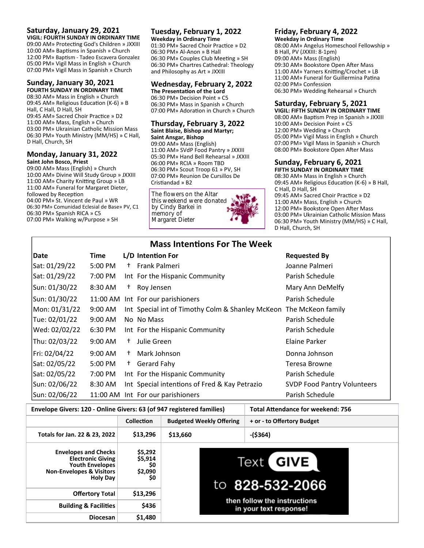#### **Saturday, January 29, 2021**

**VIGIL: FOURTH SUNDAY IN ORDINARY TIME**  09:00 AM» Protecting God's Children » JXXIII 10:00 AM» Baptisms in Spanish » Church 12:00 PM» Baptism - Tadeo Escavera Gonzalez 05:00 PM» Vigil Mass in English » Church 07:00 PM» Vigil Mass in Spanish » Church

#### **Sunday, January 30, 2021 FOURTH SUNDAY IN ORDINARY TIME**

08:30 AM» Mass in English » Church 09:45 AM» Religious Education (K-6) » B Hall, C Hall, D Hall, SH 09:45 AM» Sacred Choir Practice » D2 11:00 AM» Mass, English » Church 03:00 PM» Ukrainian Catholic Mission Mass 06:30 PM» Youth Ministry (MM/HS) » C Hall, D Hall, Church, SH

#### **Monday, January 31, 2022 Saint John Bosco, Priest**

09:00 AM» Mass (English) » Church 10:00 AM» Divine Will Study Group » JXXIII 11:00 AM» Charity Knitting Group » LB 11:00 AM» Funeral for Margaret Dieter, followed by Reception 04:00 PM» St. Vincent de Paul » WR 06:30 PM» Comunidad Eclesial de Base» PV, C1 06:30 PM» Spanish RICA » C5 07:00 PM» Walking w/Purpose » SH

#### **Tuesday, February 1, 2022 Weekday in Ordinary Time**

01:30 PM» Sacred Choir Practice » D2 06:30 PM» Al‐Anon » B Hall 06:30 PM» Couples Club Meeting » SH 06:30 PM» Chartres Cathedral: Theology and Philosophy as Art » JXXIII

#### **Wednesday, February 2, 2022 The PresentaƟon of the Lord**

06:30 PM» Decision Point » C5 06:30 PM» Mass in Spanish » Church 07:00 PM» Adoration in Church » Church

#### **Thursday, February 3, 2022 Saint Blaise, Bishop and Martyr;**

**Saint Ansgar, Bishop**  09:00 AM» Mass (English) 11:00 AM» SVdP Food Pantry » JXXIII 05:30 PM» Hand Bell Rehearsal » JXXIII 06:00 PM» RCIA » Room TBD 06:30 PM» Scout Troop 61 » PV, SH 07:00 PM» Reunion De Cursillos De Cristiandad » B2

The flowers on the Altar this weekend were donated by Cindy Barkei in memory of Margaret Dieter

#### **Friday, February 4, 2022 Weekday in Ordinary Time**

08:00 AM» Angelus Homeschool Fellowship » B Hall, PV (JXXIII: 8‐1pm) 09:00 AM» Mass (English) 09:30 AM» Bookstore Open After Mass 11:00 AM» Yarners Knitting/Crochet » LB 11:00 AM» Funeral for Guillermina Patina 02:00 PM» Confession 06:30 PM» Wedding Rehearsal » Church

#### **Saturday, February 5, 2021**

**VIGIL: FIFTH SUNDAY IN ORDINARY TIME**  08:00 AM» Baptism Prep in Spanish » JXXIII 10:00 AM» Decision Point » C5 12:00 PM» Wedding » Church 05:00 PM» Vigil Mass in English » Church 07:00 PM» Vigil Mass in Spanish » Church 08:00 PM» Bookstore Open After Mass

#### **Sunday, February 6, 2021**

**FIFTH SUNDAY IN ORDINARY TIME**  08:30 AM» Mass in English » Church 09:45 AM» Religious Education (K-6) » B Hall, C Hall, D Hall, SH 09:45 AM» Sacred Choir Practice » D2 11:00 AM» Mass, English » Church 12:00 PM» Bookstore Open After Mass 03:00 PM» Ukrainian Catholic Mission Mass 06:30 PM» Youth Ministry (MM/HS) » C Hall, D Hall, Church, SH

| <b>Mass Intentions For The Week</b> |                   |      |                                                  |                                    |
|-------------------------------------|-------------------|------|--------------------------------------------------|------------------------------------|
| Date                                | Time              |      | L/D Intention For                                | <b>Requested By</b>                |
| Sat: 01/29/22                       | 5:00 PM           | $^+$ | Frank Palmeri                                    | Joanne Palmeri                     |
| Sat: 01/29/22                       | 7:00 PM           |      | Int For the Hispanic Community                   | Parish Schedule                    |
| Sun: 01/30/22                       | 8:30 AM           | Ť.   | Roy Jensen                                       | Mary Ann DeMelfy                   |
| Sun: 01/30/22                       | 11:00 AM          |      | Int For our parishioners                         | Parish Schedule                    |
| Mon: 01/31/22                       | $9:00$ AM         |      | Int Special int of Timothy Colm & Shanley McKeon | The McKeon family                  |
| Tue: 02/01/22                       | $9:00 \text{ AM}$ |      | No No Mass                                       | Parish Schedule                    |
| Wed: 02/02/22                       | 6:30 PM           |      | Int For the Hispanic Community                   | Parish Schedule                    |
| Thu: 02/03/22                       | $9:00$ AM         | $^+$ | Julie Green                                      | Elaine Parker                      |
| Fri: 02/04/22                       | $9:00 \text{ AM}$ | $^+$ | Mark Johnson                                     | Donna Johnson                      |
| Sat: 02/05/22                       | 5:00 PM           | $^+$ | Gerard Fahy                                      | Teresa Browne                      |
| Sat: 02/05/22                       | 7:00 PM           |      | Int For the Hispanic Community                   | Parish Schedule                    |
| Sun: 02/06/22                       | 8:30 AM           |      | Int Special intentions of Fred & Kay Petrazio    | <b>SVDP Food Pantry Volunteers</b> |
| Sun: 02/06/22                       | 11:00 AM          |      | Int For our parishioners                         | Parish Schedule                    |

**Envelope Givers: 120 ‐ Online Givers: 63 (of 947 registered families) Total AƩendance for weekend: 756 CollecƟon Budgeted Weekly Offering + or ‐ to Offertory Budget Totals for Jan. 22 & 23, 2022 \$13,296 \$13,660 ‐(\$364) Envelopes and Checks \$5,292 Electronic Giving Text GIVE \$5,914 Youth Envelopes \$0 Non‐Envelopes & Visitors \$2,090 Holy Day \$0**  828-532-2066 to **Offertory Total | \$13,296** then follow the instructions **Building & Facilities | \$436** in your text response! **Diocesan \$1,480**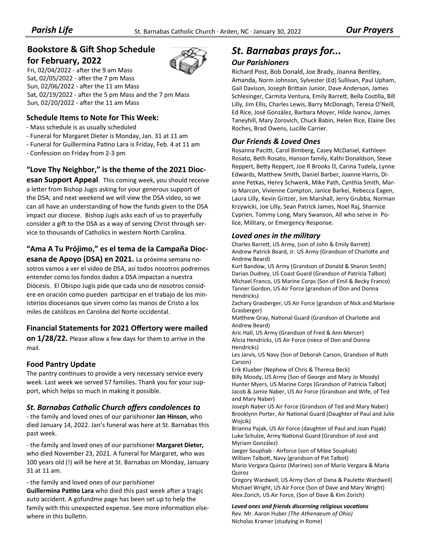## **Bookstore & Gift Shop Schedule**

#### **for February, 2022**

Fri,  $02/04/2022$  - after the 9 am Mass Sat, 02/05/2022 - after the 7 pm Mass Sun, 02/06/2022 - after the 11 am Mass Sat,  $02/19/2022$  - after the 5 pm Mass and the 7 pm Mass Sun, 02/20/2022 - after the 11 am Mass

#### **Schedule Items to Note for This Week:**

- ‐ Mass schedule is as usually scheduled
- ‐ Funeral for Margaret Dieter is Monday, Jan. 31 at 11 am
- Funeral for Guillermina Patino Lara is Friday, Feb. 4 at 11 am
- ‐ Confession on Friday from 2‐3 pm

#### **"Love Thy Neighbor," is the theme of the 2021 Dioc‐**

**esan Support Appeal**. This coming week, you should receive a letter from Bishop Jugis asking for your generous support of the DSA; and next weekend we will view the DSA video, so we can all have an understanding of how the funds given to the DSA impact our diocese. Bishop Jugis asks each of us to prayerfully consider a gift to the DSA as a way of serving Christ through service to thousands of Catholics in western North Carolina.

#### **"Ama A Tu Prójimo," es el tema de la Campaña Dioc‐**

**esana de Apoyo (DSA) en 2021.** La próxima semana no‐ sotros vamos a ver el video de DSA, así todos nosotros podremos entender como los fondos dados a DSA impactan a nuestra Diócesis. El Obispo Jugis pide que cada uno de nosotros consid‐ ere en oración como pueden participar en el trabajo de los ministerios diocesanos que sirven como las manos de Cristo a los miles de católicos en Carolina del Norte occidental.

#### **Financial Statements for 2021 Offertory were mailed**

**on 1/28/22.** Please allow a few days for them to arrive in the mail.

#### **Food Pantry Update**

The pantry continues to provide a very necessary service every week. Last week we served 57 families. Thank you for your sup‐ port, which helps so much in making it possible.

#### *St. Barnabas Catholic Church offers condolences to*

‐ the family and loved ones of our parishioner **Jan Hinson**, who died January 14, 2022. Jan's funeral was here at St. Barnabas this past week.

‐ the family and loved ones of our parishioner **Margaret Dieter,**  who died November 23, 2021. A funeral for Margaret, who was 100 years old (!) will be here at St. Barnabas on Monday, January 31 at 11 am.

‐ the family and loved ones of our parishioner

**Guillermina Pati¤o Lara** who died this past week after a tragic auto accident. A gofundme page has been set up to help the family with this unexpected expense. See more information elsewhere in this bulletin.

## *St. Barnabas prays for...*

#### *Our Parishioners*

Richard Post, Bob Donald, Joe Brady, Joanna Bentley, Amanda, Norm Johnson, Sylvester (Ed) Sullivan, Paul Upham, Gail Davison, Joseph Brittain Junior, Dave Anderson, James Schlesinger, Carmita Ventura, Emily Barrett, Bella Costilla, Bill Lilly, Jim Ellis, Charles Lewis, Barry McDonagh, Teresa O'Neill, Ed Rice, José González, Barbara Moyer, Hilde Ivanov, James Taneyhill, Mary Zorovich, Chuck Babin, Helen Rice, Elaine Des Roches, Brad Owens, Lucille Carrier.

#### *Our Friends & Loved Ones*

Rosanna Paciƫ, Carol Bimberg, Casey McDaniel, Kathleen Rosato, Beth Rosato, Hanson family, Kathi Donaldson, Steve Reppert, Betty Reppert, Joe R Brooks II, Carina Tudela, Lynne Edwards, Matthew Smith, Daniel Barber, Joanne Harris, Dianne Petkas, Henry Schwenk, Mike Path, Cynthia Smith, Mar‐ io Marcon, Vivienne Compton, Janice Barkei, Rebecca Eagen, Laura Lilly, Kevin Gritzer, Jim Marshall, Jerry Grubba, Norman Krzywicki, Joe Lilly, Sean Patrick James, Noel Raj, Sharnice Cyprien, Tommy Long, Mary Swanson, All who serve in Po‐ lice, Military, or Emergency Response.

#### *Loved ones in the military*

Charles Barrett, US Army, (son of John & Emily Barrett) Andrew Patrick Beard, Jr. US Army (Grandson of Charlotte and Andrew Beard)

Kurt Bandow, US Army (Grandson of Donald & Sharon Smith) Darian Dudney, US Coast Guard (Grandson of Patricia Talbot) Michael Franco, US Marine Corps (Son of Emil & Becky Franco) Tanner Gordon, US Air Force (grandson of Don and Donna Hendricks)

Zachary Grasberger, US Air Force (grandson of Nick and Marlene Grasberger)

Matthew Gray, National Guard (Grandson of Charlotte and Andrew Beard)

Aric Hall, US Army (Grandson of Fred & Ann Mercer) Alicia Hendricks, US Air Force (niece of Don and Donna Hendricks)

Les Jarvis, US Navy (Son of Deborah Carson, Grandson of Ruth Carson)

Erik Klueber (Nephew of Chris & Theresa Beck) Billy Moody, US Army (Son of George and Mary Jo Moody) Hunter Myers, US Marine Corps (Grandson of Patricia Talbot) Jacob & Jamie Naber, US Air Force (Grandson and Wife, of Ted and Mary Naber)

Joseph Naber US Air Force (Grandson of Ted and Mary Naber) Brooklynn Porter, Air National Guard (Daughter of Paul and Julie Wojcik)

Brianna Pajak, US Air Force (daughter of Paul and Joan Pajak) Luke Schulze, Army National Guard (Grandson of José and Myriam González)

Jaeger Souphab ‐ Airforce (son of Milee Souphab) William Talbott, Navy (grandson of Pat Talbot) Mario Vergara Quiroz (Marines) son of Mario Vergara & Maria Quiroz

Gregory Wardwell, US Army (Son of Dana & Paulette Wardwell) Michael Wright, US Air Force (Son of Dave and Mary Wright) Alex Zorich, US Air Force, (Son of Dave & Kim Zorich)

*Loved ones and friends discerning religious vocaƟons* Rev. Mr. Aaron Huber *(The Athenaeum of Ohio)*  Nicholas Kramer (studying in Rome)

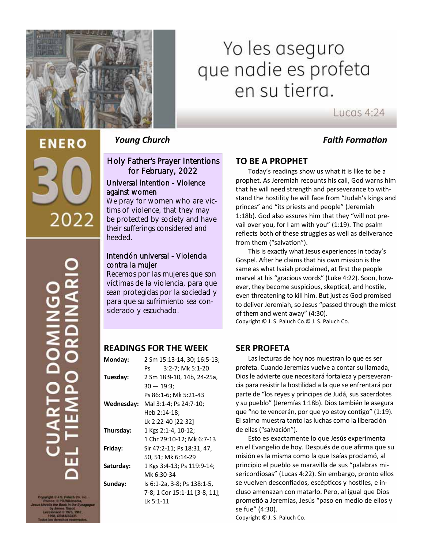

# Yo les aseguro que nadie es profeta en su tierra.

Lucas  $4:24$ 

#### *Young Church Faith FormaƟon*

# **ENERO** 2022

Holy Father's Prayer Intentions for February, 2022

#### Universal intention - Violence against women

We pray for women who are victims of violence, that they may be protected by society and have their sufferings considered and heeded.

#### Intención universal - Violencia contra la mujer

Recemos por las mujeres que son víctimas de la violencia, para que sean protegidas por la sociedad y para que su sufrimiento sea considerado y escuchado.

#### **READINGS FOR THE WEEK**

| Monday:    | 2 Sm 15:13-14, 30; 16:5-13;   |  |
|------------|-------------------------------|--|
|            | 3:2-7; Mk 5:1-20<br>Ps        |  |
| Tuesday:   | 2 Sm 18:9-10, 14b, 24-25a,    |  |
|            | $30 - 19:3;$                  |  |
|            | Ps 86:1-6; Mk 5:21-43         |  |
| Wednesday: | Mal 3:1-4; Ps 24:7-10;        |  |
|            | Heb 2:14-18;                  |  |
|            | Lk 2:22-40 [22-32]            |  |
| Thursday:  | 1 Kgs 2:1-4, 10-12;           |  |
|            | 1 Chr 29:10-12; Mk 6:7-13     |  |
| Friday:    | Sir 47:2-11; Ps 18:31, 47,    |  |
|            | 50, 51; Mk 6:14-29            |  |
| Saturday:  | 1 Kgs 3:4-13; Ps 119:9-14;    |  |
|            | Mk 6:30-34                    |  |
| Sunday:    | ls 6:1-2a, 3-8; Ps 138:1-5,   |  |
|            | 7-8; 1 Cor 15:1-11 [3-8, 11]; |  |
|            | Lk 5:1-11                     |  |

## **TO BE A PROPHET**

Today's readings show us what it is like to be a prophet. As Jeremiah recounts his call, God warns him that he will need strength and perseverance to with‐ stand the hostility he will face from "Judah's kings and princes" and "its priests and people" (Jeremiah 1:18b). God also assures him that they "will not pre‐ vail over you, for I am with you" (1:19). The psalm reflects both of these struggles as well as deliverance from them ("salvation").

 This is exactly what Jesus experiences in today's Gospel. After he claims that his own mission is the same as what Isaiah proclaimed, at first the people marvel at his "gracious words" (Luke 4:22). Soon, how‐ ever, they become suspicious, skeptical, and hostile, even threatening to kill him. But just as God promised to deliver Jeremiah, so Jesus "passed through the midst of them and went away" (4:30). Copyright © J. S. Paluch Co.© J. S. Paluch Co.

**SER PROFETA** 

 Las lecturas de hoy nos muestran lo que es ser profeta. Cuando Jeremías vuelve a contar su llamada, Dios le advierte que necesitará fortaleza y perseveran‐ cia para resisƟr la hosƟlidad a la que se enfrentará por parte de "los reyes y príncipes de Judá, sus sacerdotes y su pueblo" (Jeremías 1:18b). Dios también le asegura que "no te vencerán, por que yo estoy contigo" (1:19). El salmo muestra tanto las luchas como la liberación de ellas ("salvación").

 Esto es exactamente lo que Jesús experimenta en el Evangelio de hoy. Después de que afirma que su misión es la misma como la que Isaías proclamó, al principio el pueblo se maravilla de sus "palabras mi‐ sericordiosas" (Lucas 4:22). Sin embargo, pronto ellos se vuelven desconfiados, escépticos y hostiles, e incluso amenazan con matarlo. Pero, al igual que Dios promeƟó a Jeremías, Jesús "paso en medio de ellos y se fue" (4:30).

Copyright © J. S. Paluch Co.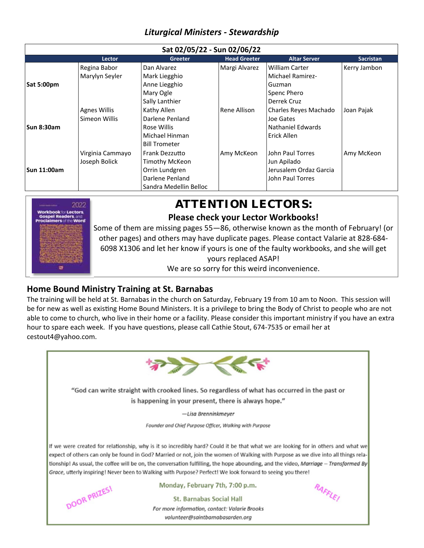## *Liturgical Ministers ‐ Stewardship*

| Sat 02/05/22 - Sun 02/06/22 |                     |                        |                     |                         |                  |
|-----------------------------|---------------------|------------------------|---------------------|-------------------------|------------------|
|                             | Lector              | <b>Greeter</b>         | <b>Head Greeter</b> | <b>Altar Server</b>     | <b>Sacristan</b> |
|                             | Regina Babor        | Dan Alvarez            | Margi Alvarez       | William Carter          | Kerry Jambon     |
| <b>Sat 5:00pm</b>           | Marylyn Seyler      | Mark Liegghio          |                     | <b>Michael Ramirez-</b> |                  |
|                             |                     | Anne Liegghio          |                     | Guzman                  |                  |
|                             |                     | Mary Ogle              |                     | Spenc Phero             |                  |
|                             |                     | Sally Lanthier         |                     | Derrek Cruz             |                  |
|                             | <b>Agnes Willis</b> | Kathy Allen            | Rene Allison        | Charles Reyes Machado   | Joan Pajak       |
|                             | Simeon Willis       | Darlene Penland        |                     | Joe Gates               |                  |
| <b>Sun 8:30am</b>           |                     | Rose Willis            |                     | Nathaniel Edwards       |                  |
|                             |                     | Michael Hinman         |                     | Erick Allen             |                  |
|                             |                     | <b>Bill Trometer</b>   |                     |                         |                  |
|                             | Virginia Cammayo    | Frank Dezzutto         | Amy McKeon          | John Paul Torres        | Amy McKeon       |
| Sun 11:00am                 | Joseph Bolick       | <b>Timothy McKeon</b>  |                     | Jun Apilado             |                  |
|                             |                     | Orrin Lundgren         |                     | Jerusalem Ordaz Garcia  |                  |
|                             |                     | Darlene Penland        |                     | John Paul Torres        |                  |
|                             |                     | Sandra Medellin Belloc |                     |                         |                  |



## ATTENTION LECTORS: **Please check your Lector Workbooks!**

#### Some of them are missing pages 55—86, otherwise known as the month of February! (or other pages) and others may have duplicate pages. Please contact Valarie at 828‐684‐ 6098 X1306 and let her know if yours is one of the faulty workbooks, and she will get yours replaced ASAP! We are so sorry for this weird inconvenience.

**Home Bound Ministry Training at St. Barnabas**

The training will be held at St. Barnabas in the church on Saturday, February 19 from 10 am to Noon. This session will be for new as well as existing Home Bound Ministers. It is a privilege to bring the Body of Christ to people who are not able to come to church, who live in their home or a facility. Please consider this important ministry if you have an extra hour to spare each week. If you have questions, please call Cathie Stout, 674-7535 or email her at cestout4@yahoo.com.

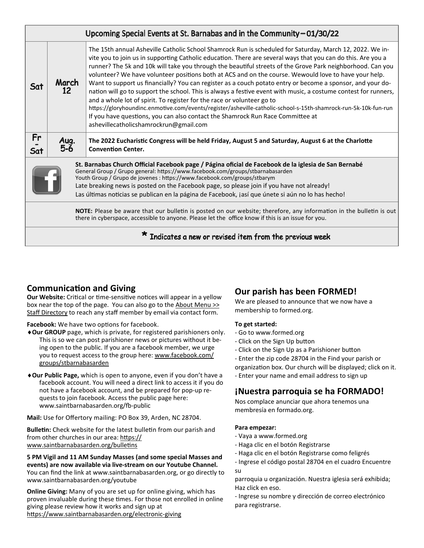| Upcoming Special Events at St. Barnabas and in the Community - 01/30/22                                                                                                                                                                                                                                                                                                                                                                                               |             |                                                                                                                                                                                                                                                                                                                                                                                                                                                                                                                                                                                                                                                                                                                                                                                                                                                                                                                                                                                                           |  |  |
|-----------------------------------------------------------------------------------------------------------------------------------------------------------------------------------------------------------------------------------------------------------------------------------------------------------------------------------------------------------------------------------------------------------------------------------------------------------------------|-------------|-----------------------------------------------------------------------------------------------------------------------------------------------------------------------------------------------------------------------------------------------------------------------------------------------------------------------------------------------------------------------------------------------------------------------------------------------------------------------------------------------------------------------------------------------------------------------------------------------------------------------------------------------------------------------------------------------------------------------------------------------------------------------------------------------------------------------------------------------------------------------------------------------------------------------------------------------------------------------------------------------------------|--|--|
| Sat                                                                                                                                                                                                                                                                                                                                                                                                                                                                   | March<br>12 | The 15th annual Asheville Catholic School Shamrock Run is scheduled for Saturday, March 12, 2022. We in-<br>vite you to join us in supporting Catholic education. There are several ways that you can do this. Are you a<br>runner? The 5k and 10k will take you through the beautiful streets of the Grove Park neighborhood. Can you<br>volunteer? We have volunteer positions both at ACS and on the course. Wewould love to have your help.<br>Want to support us financially? You can register as a couch potato entry or become a sponsor, and your do-<br>nation will go to support the school. This is always a festive event with music, a costume contest for runners,<br>and a whole lot of spirit. To register for the race or volunteer go to<br>https://gloryhoundinc.enmotive.com/events/register/asheville-catholic-school-s-15th-shamrock-run-5k-10k-fun-run<br>If you have questions, you can also contact the Shamrock Run Race Committee at<br>ashevillecatholicshamrockrun@gmail.com |  |  |
| Fr<br>Sat                                                                                                                                                                                                                                                                                                                                                                                                                                                             | Aug.<br>5-6 | The 2022 Eucharistic Congress will be held Friday, August 5 and Saturday, August 6 at the Charlotte<br><b>Convention Center.</b>                                                                                                                                                                                                                                                                                                                                                                                                                                                                                                                                                                                                                                                                                                                                                                                                                                                                          |  |  |
| St. Barnabas Church Official Facebook page / Página oficial de Facebook de la iglesia de San Bernabé<br>General Group / Grupo general: https://www.facebook.com/groups/stbarnabasarden<br>Youth Group / Grupo de jovenes : https://www.facebook.com/groups/stbarym<br>Late breaking news is posted on the Facebook page, so please join if you have not already!<br>Las últimas noticias se publican en la página de Facebook, jasí que únete si aún no lo has hecho! |             |                                                                                                                                                                                                                                                                                                                                                                                                                                                                                                                                                                                                                                                                                                                                                                                                                                                                                                                                                                                                           |  |  |
| NOTE: Please be aware that our bulletin is posted on our website; therefore, any information in the bulletin is out<br>there in cyberspace, accessible to anyone. Please let the office know if this is an issue for you.                                                                                                                                                                                                                                             |             |                                                                                                                                                                                                                                                                                                                                                                                                                                                                                                                                                                                                                                                                                                                                                                                                                                                                                                                                                                                                           |  |  |
| Indicates a new or revised item from the previous week                                                                                                                                                                                                                                                                                                                                                                                                                |             |                                                                                                                                                                                                                                                                                                                                                                                                                                                                                                                                                                                                                                                                                                                                                                                                                                                                                                                                                                                                           |  |  |

#### **CommunicaƟon and Giving**

**Our Website:** Critical or time-sensitive notices will appear in a yellow box near the top of the page. You can also go to the About Menu >> Staff Directory to reach any staff member by email via contact form.

Facebook: We have two options for facebook.

- **Our GROUP** page, which is private, for registered parishioners only. This is so we can post parishioner news or pictures without it be‐ ing open to the public. If you are a facebook member, we urge you to request access to the group here: www.facebook.com/ groups/stbarnabasarden
- **Our Public Page,** which is open to anyone, even if you don't have a facebook account. You will need a direct link to access it if you do not have a facebook account, and be prepared for pop‐up re‐ quests to join facebook. Access the public page here: www.saintbarnabasarden.org/fb-public

**Mail:** Use for Offertory mailing: PO Box 39, Arden, NC 28704.

**BulleƟn:** Check website for the latest bulleƟn from our parish and from other churches in our area: https:// www.saintbarnabasarden.org/bulletins

**5 PM Vigil and 11 AM Sunday Masses (and some special Masses and events) are now available via live‐stream on our Youtube Channel.**  You can find the link at www.saintbarnabasarden.org, or go directly to www.saintbarnabasarden.org/youtube

**Online Giving:** Many of you are set up for online giving, which has proven invaluable during these times. For those not enrolled in online giving please review how it works and sign up at https://www.saintbarnabasarden.org/electronic-giving

# **Our parish has been FORMED!**

We are pleased to announce that we now have a membership to formed.org.

#### **To get started:**

- ‐ Go to www.formed.org
- ‐ Click on the Sign Up buƩon
- Click on the Sign Up as a Parishioner button
- ‐ Enter the zip code 28704 in the Find your parish or
- organizaƟon box. Our church will be displayed; click on it.
- ‐ Enter your name and email address to sign up

# **¡Nuestra parroquia se ha FORMADO!**

Nos complace anunciar que ahora tenemos una membresía en formado.org.

#### **Para empezar:**

- ‐ Vaya a www.formed.org
- ‐ Haga clic en el botón Registrarse
- ‐ Haga clic en el botón Registrarse como feligrés
- ‐ Ingrese el código postal 28704 en el cuadro Encuentre su

parroquia u organización. Nuestra iglesia será exhibida; Haz click en eso.

‐ Ingrese su nombre y dirección de correo electrónico para registrarse.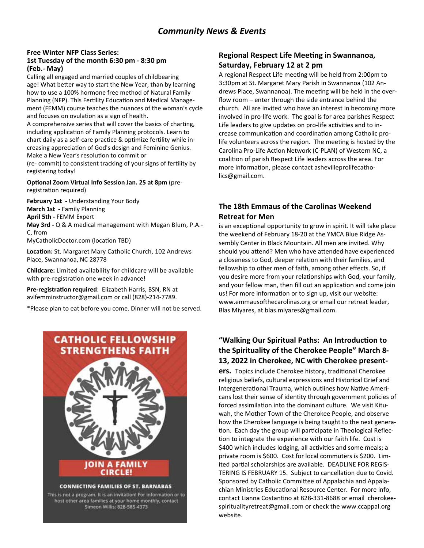#### **Free Winter NFP Class Series: 1st Tuesday of the month 6:30 pm ‐ 8:30 pm (Feb.‐ May)**

Calling all engaged and married couples of childbearing age! What better way to start the New Year, than by learning how to use a 100% hormone free method of Natural Family Planning (NFP). This Fertility Education and Medical Management (FEMM) course teaches the nuances of the woman's cycle and focuses on ovulation as a sign of health.

A comprehensive series that will cover the basics of charting, including application of Family Planning protocols. Learn to chart daily as a self-care practice & optimize fertility while increasing appreciation of God's design and Feminine Genius. Make a New Year's resolution to commit or

(re- commit) to consistent tracking of your signs of fertility by registering today!

**OpƟonal Zoom Virtual Info Session Jan. 25 at 8pm** (pre‐ registration required)

**February 1st ‐** Understanding Your Body **March 1st ‐** Family Planning **April 5th ‐** FEMM Expert **May 3rd ‐** Q & A medical management with Megan Blum, P.A.‐ C, from MyCatholicDoctor.com (location TBD)

**LocaƟon:** St. Margaret Mary Catholic Church, 102 Andrews Place, Swannanoa, NC 28778

**Childcare:** Limited availability for childcare will be available with pre-registration one week in advance!

**Pre‐registraƟon required**: Elizabeth Harris, BSN, RN at avlfemminstructor@gmail.com or call (828)‐214‐7789.

\*Please plan to eat before you come. Dinner will not be served.



**Regional Respect Life Meeting in Swannanoa, Saturday, February 12 at 2 pm**

A regional Respect Life meeting will be held from 2:00pm to 3:30pm at St. Margaret Mary Parish in Swannanoa (102 An‐ drews Place, Swannanoa). The meeting will be held in the overflow room – enter through the side entrance behind the church. All are invited who have an interest in becoming more involved in pro‐life work. The goal is for area parishes Respect Life leaders to give updates on pro-life activities and to increase communication and coordination among Catholic prolife volunteers across the region. The meeting is hosted by the Carolina Pro-Life Action Network (C-PLAN) of Western NC, a coalition of parish Respect Life leaders across the area. For more information, please contact ashevilleprolifecatholics@gmail.com.

#### **The 18th Emmaus of the Carolinas Weekend Retreat for Men**

is an exceptional opportunity to grow in spirit. It will take place the weekend of February 18‐20 at the YMCA Blue Ridge As‐ sembly Center in Black Mountain. All men are invited. Why should you attend? Men who have attended have experienced a closeness to God, deeper relation with their families, and fellowship to other men of faith, among other effects. So, if you desire more from your relationships with God, your family, and your fellow man, then fill out an application and come join us! For more information or to sign up, visit our website: www.emmausofthecarolinas.org or email our retreat leader, Blas Miyares, at blas.miyares@gmail.com.

#### "Walking Our Spiritual Paths: An Introduction to **the Spirituality of the Cherokee People" March 8‐ 13, 2022 in Cherokee, NC with Cherokee present‐**

**ers.** Topics include Cherokee history, traditional Cherokee religious beliefs, cultural expressions and Historical Grief and Intergenerational Trauma, which outlines how Native Americans lost their sense of identity through government policies of forced assimilation into the dominant culture. We visit Kituwah, the Mother Town of the Cherokee People, and observe how the Cherokee language is being taught to the next genera‐ tion. Each day the group will participate in Theological Reflection to integrate the experience with our faith life. Cost is \$400 which includes lodging, all activities and some meals; a private room is \$600. Cost for local commuters is \$200. Lim‐ ited partial scholarships are available. DEADLINE FOR REGIS-TERING IS FEBRUARY 15. Subject to cancellation due to Covid. Sponsored by Catholic Committee of Appalachia and Appalachian Ministries Educational Resource Center. For more info. contact Lianna Costantino at 828-331-8688 or email cherokeespiritualityretreat@gmail.com or check the www.ccappal.org website.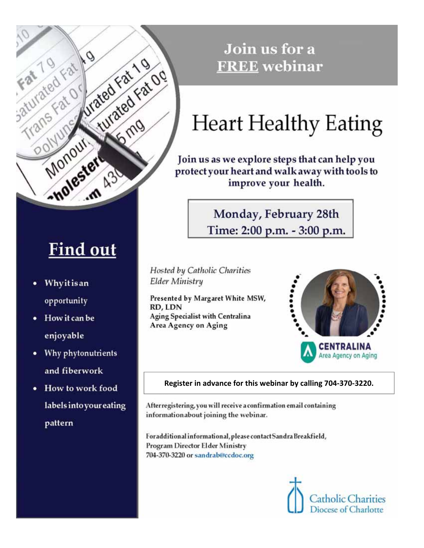

# **Find out**

- Whyitisan ٠ opportunity
- How it can be enjoyable
- Why phytonutrients and fiberwork
- How to work food labels into your eating pattern

# Join us for a **FREE** webinar

# **Heart Healthy Eating**

Join us as we explore steps that can help you protect your heart and walk away with tools to improve your health.

> Monday, February 28th Time: 2:00 p.m. - 3:00 p.m.

Hosted by Catholic Charities **Elder Ministry** 

Presented by Margaret White MSW, RD, LDN Aging Specialist with Centralina Area Agency on Aging



#### Register in advance for this webinar by calling 704-370-3220.

After registering, you will receive a confirmation email containing informationabout joining the webinar.

Foradditional informational, please contact Sandra Breakfield, Program Director Elder Ministry 704-370-3220 or sandrab@ccdoc.org